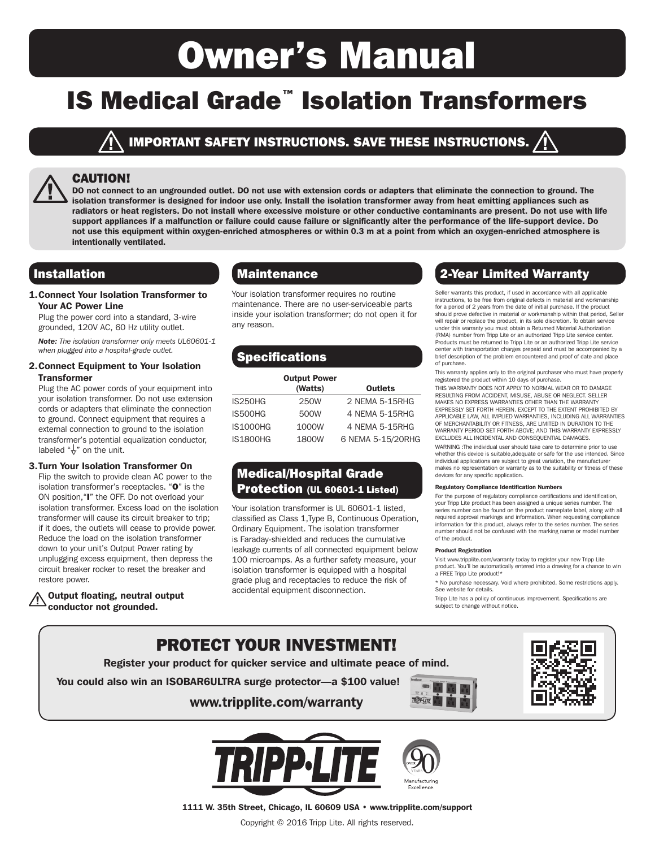# Owner's Manual

# IS Medical Grade™ Isolation Transformers

#### IMPORTANT SAFETY INSTRUCTIONS. SAVE THESE INSTRUCTIONS.  $\boldsymbol{\Lambda}$

#### CAUTION!

DO not connect to an ungrounded outlet. DO not use with extension cords or adapters that eliminate the connection to ground. The isolation transformer is designed for indoor use only. Install the isolation transformer away from heat emitting appliances such as radiators or heat registers. Do not install where excessive moisture or other conductive contaminants are present. Do not use with life support appliances if a malfunction or failure could cause failure or significantly alter the performance of the life-support device. Do not use this equipment within oxygen-enriched atmospheres or within 0.3 m at a point from which an oxygen-enriched atmosphere is intentionally ventilated.

1.Connect Your Isolation Transformer to Your AC Power Line

Plug the power cord into a standard, 3-wire grounded, 120V AC, 60 Hz utility outlet.

*Note: The isolation transformer only meets UL60601-1 when plugged into a hospital-grade outlet.*

#### 2.Connect Equipment to Your Isolation **Transformer**

Plug the AC power cords of your equipment into your isolation transformer. Do not use extension cords or adapters that eliminate the connection to ground. Connect equipment that requires a external connection to ground to the isolation transformer's potential equalization conductor, labeled " $\frac{1}{2}$ " on the unit.

#### 3.Turn Your Isolation Transformer On

Flip the switch to provide clean AC power to the isolation transformer's receptacles. "O" is the ON position,"I" the OFF. Do not overload your isolation transformer. Excess load on the isolation transformer will cause its circuit breaker to trip; if it does, the outlets will cease to provide power. Reduce the load on the isolation transformer down to your unit's Output Power rating by unplugging excess equipment, then depress the circuit breaker rocker to reset the breaker and restore power.

#### Output floating, neutral output conductor not grounded.

Your isolation transformer requires no routine maintenance. There are no user-serviceable parts inside your isolation transformer; do not open it for any reason.

## **Specifications**

|                 | <b>Output Power</b><br>(Watts) | <b>Outlets</b>    |
|-----------------|--------------------------------|-------------------|
| IS250HG         | 250W                           | 2 NEMA 5-15RHG    |
| IS500HG         | 500W                           | 4 NEMA 5-15RHG    |
| <b>IS1000HG</b> | 1000W                          | 4 NEMA 5-15RHG    |
| <b>IS1800HG</b> | 1800W                          | 6 NEMA 5-15/20RHG |

## Medical/Hospital Grade Protection (UL 60601-1 Listed)

Your isolation transformer is UL 60601-1 listed, classified as Class 1,Type B, Continuous Operation, Ordinary Equipment. The isolation transformer is Faraday-shielded and reduces the cumulative leakage currents of all connected equipment below 100 microamps. As a further safety measure, your isolation transformer is equipped with a hospital grade plug and receptacles to reduce the risk of accidental equipment disconnection.

## Installation **2. Inc. 2. Intervention** Maintenance **2. All also assigned Warranty**

Seller warrants this product, if used in accordance with all applicable instructions, to be free from original defects in material and workmanship for a period of 2 years from the date of initial purchase. If the product should prove defective in material or workmanship within that period, Seller will repair or replace the product, in its sole discretion. To obtain service under this warranty you must obtain a Returned Material Authorization (RMA) number from Tripp Lite or an authorized Tripp Lite service center. Products must be returned to Tripp Lite or an authorized Tripp Lite service center with transportation charges prepaid and must be accompanied by a brief description of the problem encountered and proof of date and place of purchase.

This warranty applies only to the original purchaser who must have properly registered the product within 10 days of purchase.

THIS WARRANTY DOES NOT APPLY TO NORMAL WEAR OR TO DAMAGE RESULTING FROM ACCIDENT, MISUSE, ABUSE OR NEGLECT. SELLER MAKES NO EXPRESS WARRANTIES OTHER THAN THE WARRANTY EXPRESSLY SET FORTH HEREIN. EXCEPT TO THE EXTENT PROHIBITED BY APPLICABLE LAW, ALL IMPLIED WARRANTIES, INCLUDING ALL WARRANTIES OF MERCHANTABILITY OR FITNESS, ARE LIMITED IN DURATION TO THE WARRANTY PERIOD SET FORTH ABOVE; AND THIS WARRANTY EXPRESSLY EXCLUDES ALL INCIDENTAL AND CONSEQUENTIAL DAMAGES.

WARNING :The individual user should take care to determine prior to use whether this device is suitable,adequate or safe for the use intended. Since individual applications are subject to great variation, the manufacturer makes no representation or warranty as to the suitability or fitness of these devices for any specific application.

#### Regulatory Compliance Identification Numbers

For the purpose of regulatory compliance certifications and identification, your Tripp Lite product has been assigned a unique series number. The series number can be found on the product nameplate label, along with all required approval markings and information. When requesting compliance information for this product, always refer to the series number. The series number should not be confused with the marking name or model number of the product.

#### Product Registration

Visit www.tripplite.com/warranty today to register your new Tripp Lite product. You'll be automatically entered into a drawing for a chance to win a FREE Tripp Lite product!\*

\* No purchase necessary. Void where prohibited. Some restrictions apply. See website for details.

Tripp Lite has a policy of continuous improvement. Specifications are subject to change without notice.

## PROTECT YOUR INVESTMENT! Register your product for quicker service and ultimate peace of mind. You could also win an ISOBAR6ULTRA surge protector—a \$100 value! **TRIPPLITE** www.tripplite.com/warranty





1111 W. 35th Street, Chicago, IL 60609 USA • www.tripplite.com/support Copyright © 2016 Tripp Lite. All rights reserved.